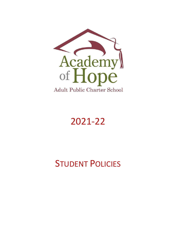

# 2021-22

# **STUDENT POLICIES**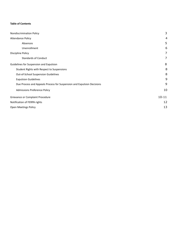# **Table of Contents**

| Nondiscrimination Policy                                               | 3              |
|------------------------------------------------------------------------|----------------|
| <b>Attendance Policy</b>                                               | 4              |
| Absences                                                               | 5              |
| Unenrollment                                                           | 6              |
| <b>Discipline Policy</b>                                               | $\overline{7}$ |
| <b>Standards of Conduct</b>                                            | 7              |
| Guidelines for Suspension and Expulsion                                | 8              |
| Student Rights with Respect to Suspensions                             | 8              |
| Out-of-School Suspension Guidelines                                    | 8              |
| <b>Expulsion Guidelines</b>                                            | 9              |
| Due Process and Appeals Process for Suspension and Expulsion Decisions | 9              |
| <b>Admissions Preference Policy</b>                                    | 10             |
| Grievance or Complaint Procedure                                       | $10 - 11$      |
| Notification of FERPA rights                                           | 12             |
| <b>Open Meetings Policy</b>                                            | 13             |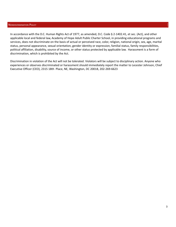#### NONDISCRIMINATION POLICY

In accordance with the D.C. Human Rights Act of 1977, as amended, D.C. Code § 2-1402.41, et sec. (Act), and other applicable local and federal law, Academy of Hope Adult Public Charter School, in providing educational programs and services, does not discriminate on the basis of actual or perceived race, color, religion, national origin, sex, age, marital status, personal appearance, sexual orientation, gender identity or expression, familial status, family responsibilities, political affiliation, disability, source of income, or other status protected by applicable law. Harassment is a form of discrimination, which is prohibited by the Act.

Discrimination in violation of the Act will not be tolerated. Violators will be subject to disciplinary action. Anyone who experiences or observes discriminated or harassment should immediately report the matter to Lecester Johnson, Chief Executive Officer (CEO), 2315 18th Place, NE, Washington, DC 20018, 202-269-6623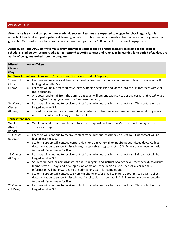#### **ATTENDANCE POLICY**

Attendance is a critical component for academic success. Learners are expected to engage in school regularly. It is important to attend and participate in all learning in order to obtain needed information to complete your program and/or graduate. Our most successful learners make educational gains after 100 hours of instructional engagement.

Academy of Hope APCS staff will make every attempt to contact and re-engage learners according to the contact schedule listed below. Learners who fail to respond to AoH's contact and re-engage in learning for a period of 21 days are **at risk of being unenrolled from the program.**

| <b>Missed</b><br><b>Classes</b>            | <b>Action Taken</b>                                                                                                                                                                                                                                                                               |
|--------------------------------------------|---------------------------------------------------------------------------------------------------------------------------------------------------------------------------------------------------------------------------------------------------------------------------------------------------|
| (Days)                                     |                                                                                                                                                                                                                                                                                                   |
|                                            | No Show Attendance (Admissions/Instructional Team/ and Student Support)                                                                                                                                                                                                                           |
| 1 Week of<br>Classes<br>$(4 \text{ days})$ | Learners will receive a call from an individual teacher to inquire about missed class. This contact will<br>$\bullet$<br>be logged into the SIS.<br>Learners will be outreached by Student Support Specialists and logged into the SIS (Learners with 2 or<br>$\bullet$                           |
|                                            | more absences).                                                                                                                                                                                                                                                                                   |
|                                            | A robocall and email from the admissions team will be sent each day to absent learners. (We will make<br>$\bullet$<br>every effort to engage learners before unenrollment.)                                                                                                                       |
| 2 <sup>nd</sup> Week of<br>Classes         | Learners will continue to receive contact from individual teachers via direct call. This contact will be<br>$\bullet$<br>logged into the SIS.                                                                                                                                                     |
| $(8 \text{ days})$                         | The admissions team will attempt direct contact with learners who were not unenrolled during week<br>$\bullet$<br>one. This contact will be logged into the SIS.                                                                                                                                  |
| <b>Term Attendance</b>                     |                                                                                                                                                                                                                                                                                                   |
| Weekly<br>Absent<br>Report                 | Weekly absent reports will be sent to student support and principals/instructional managers each<br>$\bullet$<br>Thursday by 5pm.                                                                                                                                                                 |
| 10 Classes<br>$(5$ Days)                   | Learners will continue to receive contact from individual teachers via direct call. This contact will be<br>$\bullet$<br>logged into the SIS.                                                                                                                                                     |
|                                            | Student Support will contact learners via phone and/or email to inquire about missed days. Collect<br>$\bullet$<br>documentation to support missed days, if applicable. Log contact in SIS. Forward any documentation<br>to the admission team for filing.                                        |
| 16 Classes<br>(8 Days)                     | Learners will continue to receive contact from individual teachers via direct call. This contact will be<br>$\bullet$<br>logged into the SIS.                                                                                                                                                     |
|                                            | Student support, principals/instructional managers, and instructional team will meet weekly to discuss<br>$\bullet$<br>learners with 8+ days and develop a plan of action. If the decision is to unenroll a learner, this<br>information will be forwarded to the admissions team for completion. |
|                                            | Student Support will contact Learners via phone and/or email to inquire about missed days. Collect<br>$\bullet$<br>documentation to support missed days if applicable. Log contact in SIS. Forward any documentation<br>to the admission team for filing.                                         |
| 24 Classes<br>$(12 \text{ Days})$          | Learners will continue to receive contact from individual teachers via direct call. This contact will be<br>$\bullet$<br>logged into the SIS.                                                                                                                                                     |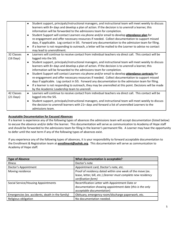|                     | Student support, principals/instructional managers, and instructional team will meet weekly to discuss                                            |  |  |
|---------------------|---------------------------------------------------------------------------------------------------------------------------------------------------|--|--|
|                     | learners with 8+ days and develop a plan of action. If the decision is to unenroll a learner, this                                                |  |  |
|                     | information will be forwarded to the admissions team for completion.                                                                              |  |  |
|                     | Student Support will contact Learners via phone and/or email to develop attendance plan for                                                       |  |  |
|                     | re-engagement and offer necessary resources if needed. Collect documentation to support missed                                                    |  |  |
|                     | days, if applicable. Log contact in SIS. Forward any documentation to the admission team for filing.                                              |  |  |
|                     | If a learner is not responding to outreach, a letter will be mailed to the Learner to advise no contact<br>$\bullet$<br>may lead to unenrollment. |  |  |
| 32 Classes          | Learners will continue to receive contact from individual teachers via direct call. This contact will be<br>$\bullet$                             |  |  |
| $(16 \text{ Days})$ | logged into the SIS.                                                                                                                              |  |  |
|                     | Student support, principals/instructional managers, and instructional team will meet weekly to discuss<br>$\bullet$                               |  |  |
|                     | learners with 8+ days and develop a plan of action. If the decision is to unenroll a learner, this                                                |  |  |
|                     | information will be forwarded to the admissions team for completion.                                                                              |  |  |
|                     | Student Support will contact Learners via phone and/or email to develop attendance contracts for                                                  |  |  |
|                     | re-engagement and offer necessary resources if needed. Collect documentation to support missed                                                    |  |  |
|                     | days if applicable. Log contact in SIS. Forward any documentation to the admission team for filing.                                               |  |  |
|                     | If a learner is not responding to outreach, they may be unenrolled at this point. Decisions will be made<br>$\bullet$                             |  |  |
|                     | by the Academic Leadership team to unenroll.                                                                                                      |  |  |
| 42 Classes          | Learners will continue to receive contact from individual teachers via direct call. This contact will be<br>$\bullet$                             |  |  |
| $(21 \text{ Days})$ | logged into the SIS.                                                                                                                              |  |  |
|                     | Student support, principals/instructional managers, and instructional team will meet weekly to discuss<br>$\bullet$                               |  |  |
|                     | the decision to unenroll learners with 21+ days and forward a list of unenrolled Learners to the                                                  |  |  |
|                     | admissions team.                                                                                                                                  |  |  |

# **Acceptable Documentation for Excused Absences**

If a learner is experience any of the following types of absences the admissions team will accept documentation (listed below) to excuse the absence and/or defer the learner. This documentation will serve as communication to Academy of Hope staff and should be forwarded to the admissions team for filing in the learner's permanent file. A Learner may have the opportunity to defer until the next term if any of the following types of absences exist.

If you experience any of the following types of absences, it is your responsibility to forward acceptable documentation to the Enrollment & Registration team at **enrollment@aohdc.org**. This documentation will serve as communication to Academy of Hope staff.

| <b>Type of Absence</b>                           | What documentation is acceptable?                                                                                                                  |
|--------------------------------------------------|----------------------------------------------------------------------------------------------------------------------------------------------------|
| <b>Illness</b>                                   | Doctor's note                                                                                                                                      |
| Doctor's Appointment                             | Appointment card, Doctor's note, etc.                                                                                                              |
| Moving residence                                 | Proof of residency dated within one week of the move (ex.<br>lease, letter, bill, etc.) (learner must complete new residency<br>verification form) |
| Social Service/Housing Appointments              | Recertification Letter with Appointment Date or<br>documentation showing appointment date (this is the only<br>acceptable documentation)           |
| Emergencies (ex. accidents, death in the family) | Obituary, emergency room/discharge paperwork, etc.                                                                                                 |
| Religious obligation                             | No documentation needed.                                                                                                                           |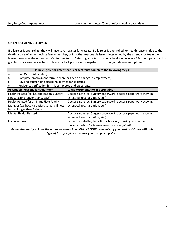|  | Jury Duty/Court Appearance | Jury summons letter/Court notice showing court date |
|--|----------------------------|-----------------------------------------------------|
|--|----------------------------|-----------------------------------------------------|

# **UN ENROLLMENT/DEFERMENT**

If a learner is unenrolled, they will have to re-register for classes. If a learner is unenrolled for health reasons, due to the death or care of an immediate family member, or for other reasonable issues determined by the attendance team the learner may have the option to defer for one term. Deferring for a term can only be done once in a 12-month period and is granted on a case-by-case basis. Please contact your campus registrar to discuss your deferment options.

| To be eligible for deferment, learners must complete the following steps:                                 |                                                                  |  |  |
|-----------------------------------------------------------------------------------------------------------|------------------------------------------------------------------|--|--|
| CASAS Test (if needed).<br>»                                                                              |                                                                  |  |  |
| Complete employment form (if there has been a change in employment).<br>»                                 |                                                                  |  |  |
| »                                                                                                         | Have no outstanding discipline or attendance issues.             |  |  |
| Residency verification form is completed and up-to-date.                                                  |                                                                  |  |  |
| <b>Acceptable Reasons for Deferment</b><br>What documentation is acceptable?                              |                                                                  |  |  |
| Health Related (ex. hospitalization, surgery,                                                             | Doctor's note (ex. Surgery paperwork, doctor's paperwork showing |  |  |
| illness lasting longer than 8 days)<br>extended hospitalization, etc.)                                    |                                                                  |  |  |
| Health Related for an Immediate Family                                                                    | Doctor's note (ex. Surgery paperwork, doctor's paperwork showing |  |  |
| Member (ex. hospitalization, surgery, illness<br>extended hospitalization, etc.)                          |                                                                  |  |  |
| lasting longer than 8 days)                                                                               |                                                                  |  |  |
| <b>Mental Health Related</b>                                                                              | Doctor's note (ex. Surgery paperwork, doctor's paperwork showing |  |  |
|                                                                                                           | extended hospitalization, etc.)                                  |  |  |
| <b>Homelessness</b>                                                                                       | Letter from shelter, transitional housing, housing program, etc. |  |  |
|                                                                                                           | (documentation for homelessness is not required)                 |  |  |
| Remember that you have the option to switch to a "ONLINE ONLY" schedule. If you need assistance with this |                                                                  |  |  |

*type of transfer, please contact your campus registrar.*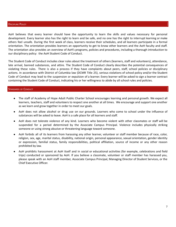#### **DISCIPLINE POLICY**

AoH believes that every learner should have the opportunity to learn the skills and values necessary for personal development. Every learner also has the right to learn and be safe, and no one has the right to interrupt learning or make others feel unsafe. During the first week of class, learners receive their schedules, and all learners participate in a formal orientation. The orientation provides learners an opportunity to get to know other learners and the AoH faculty and staff. The orientation also provides an overview of AoH's programs, policies and procedures, including a thorough introduction to our disciplinary policy: the AoH Student Code of Conduct.

The Student Code of Conduct includes clear rules about the treatment of others (learners, staff and volunteers), attendance, late arrival, banned substances, and attire. The Student Code of Conduct clearly describes the potential consequences of violating these rules. There is also a process if they have complaints about peers, staff, school policies or disciplinary actions. In accordance with District of Columbia law (DCMR Title 25), serious violations of school policy and/or the Student Code of Conduct may lead to the suspension or expulsion of a learner. Every learner will be asked to sign a learner contract containing the Student Code of Conduct, indicating his or her willingness to abide by all school rules and policies.

#### STANDARDS OF CONDUCT

- The staff of Academy of Hope Adult Public Charter School encourages learning and personal growth. We expect all learners, teachers, staff and volunteers to respect one another at all times. We encourage and support one another as we learn and grow together in order to meet our goals.
- AoH does not allow alcohol or drug use on our grounds. Learners who come to school under the influence of substances will be asked to leave. AoH is a safe place for all learners and staff.
- AoH does not tolerate violence of any kind. Learners who become violent with other classmates or staff will be suspended for a period determined by the Associate Campus Principal. Violence includes physically striking someone or using strong abusive or threatening language toward someone.
- AoH forbids all of its learners from harassing any other learner, volunteer or staff member because of race, color, religion, sex, age, marital status, disability, national origin, personal appearance, sexual orientation, gender identity or expression, familial status, family responsibilities, political affiliation, source of income or any other reason prohibited by law.
- AoH prohibits harassment at AoH itself and in social or educational activities (for example, celebrations and field trips) conducted or sponsored by AoH. If you believe a classmate, volunteer or staff member has harassed you, please speak with an AoH staff member, Associate Campus Principal, Managing Director of Student Services, or the Chief Executive Officer.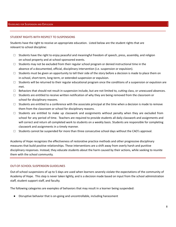#### STUDENT RIGHTS WITH RESPECT TO SUSPENSIONS

Students have the right to receive an appropriate education. Listed below are the student rights that are relevant to school discipline:

- $\Box$  Students have the right to enjoy peaceful and meaningful freedom of speech, press, assembly, and religion on school property and at school-sponsored events.
- $\Box$  Students may not be excluded from their regular school program or denied instructional time in the absence of a documented, official, disciplinary intervention (i.e. suspension or expulsion).
- $\square$  Students must be given an opportunity to tell their side of the story before a decision is made to place them on in-school, short-term, long-term, or extended suspension or expulsion.
- $\Box$  Students will be returned to their regular educational program once the conditions of a suspension or expulsion are met.
- $\Box$  Behaviors that should not result in suspension include, but are not limited to, cutting class, or unexcused absences.
- $\Box$  Students are entitled to receive written notification of why they are being removed from the classroom or school for disciplinary reasons.
- $\Box$  Students are entitled to a conference with the associate principal at the time when a decision is made to remove them from the classroom or school for disciplinary reasons.
- $\Box$  Students are entitled to make up classwork and assignments without penalty when they are excluded from school for any period of time. Teachers are required to provide students all daily classwork and assignments and will correct and return all completed work to students on a weekly basis. Students are responsible for completing classwork and assignments in a timely manner.
- $\Box$  Students cannot be suspended for more than three consecutive school days without the CAO's approval.

Academy of Hope recognizes the effectiveness of restorative practice methods and other progressive disciplinary measures that build positive relationships. These interventions are a shift away from overly harsh and punitive disciplinary responses. Instead, they educate students about the harm caused by their actions, while seeking to reunite them with the school community.

#### OUT-OF-SCHOOL SUSPENSION GUIDELINES

Out-of-school suspensions of up to 5 days are used when learners severely violate the expectations of the community of Academy of Hope. This step is never taken lightly, and is a decision made based on input from the school administration staff, student support staff, and faculty.

The following categories are examples of behaviors that may result in a learner being suspended:

Disruptive behavior that is on-going and uncontrollable, including harassment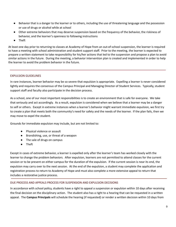- Behavior that is a danger to the learner or to others, including the use of threatening language and the possession or use of drugs or alcohol while at school
- Other extreme behaviors that may deserve suspension based on the frequency of the behavior, the riskiness of behavior, and the learner's openness to following instructions
- Theft

At least one day prior to returning to classes at Academy of Hope from an out-of-school suspension, the learner is required to have a meeting with school administration and student support staff. Prior to the meeting, the learner is expected to prepare a written statement to take responsibility for his/her actions that led to the suspension and propose a plan to avoid similar actions in the future. During the meeting, a behavior intervention plan is created and implemented in order to help the learner to avoid the problem behavior in the future.

# EXPULSION GUIDELINES

In rare instances, learner behavior may be so severe that expulsion is appropriate. Expelling a learner is never considered lightly and requires the consensus of the Campus Principal and Managing Director of Student Services. Typically, student support staff and faculty also participate in the decision process.

As a school, one of our most important responsibilities is to create an environment that is safe for everyone. We take that seriously and act accordingly. As a result, expulsion is considered when we believe that a learner may be a danger to self or others. Except in extreme instances when a learner's behavior might warrant immediate expulsion, we first try to create a plan that meets both the community's need for safety and the needs of the learner. If the plan fails, then we may move to expel the student.

Grounds for immediate expulsion may include, but are not limited to:

- Physical violence or assault
- Brandishing, use, or threat of a weapon
- The sale of drugs on campus
- Theft

Except in cases of extreme behavior, a learner is expelled only after the learner's team has worked closely with the learner to change the problem behaviors. After expulsion, learners are not permitted to attend classes for the current session or to be present on either campus for the duration of the expulsion. If the current session is near its end, the expulsion may carry over to the next session. At the end of the expulsion, a student may complete the application and registration process to return to Academy of Hope and must also complete a more extensive appeal to return that includes a restorative justice process.

# DUE PROCESS AND APPEALS PROCESS FOR SUSPENSION AND EXPULSION DECISIONS

In accordance with school policy, students have a right to appeal a suspension or expulsion within 10 days after receiving the final decision on the disciplinary action. The student also has a right to a hearing that can be requested in a written appeal. The **Campus Principals** will schedule the hearing (if requested) or render a written decision within 10 days from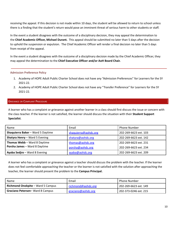receiving the appeal. If this decision is not made within 10 days, the student will be allowed to return to school unless there is a finding that the student's return would pose an imminent threat of serious harm to other students or staff.

In the event a student disagrees with the outcome of a disciplinary decision, they may appeal the determination to the **Chief Academic Officer, Michael Durant.** This appeal should be submitted no later than 5 days after the decision to uphold the suspension or expulsion. The Chief Academic Officer will render a final decision no later than 5 days from receipt of the appeal.

In the event a student disagrees with the outcome of a disciplinary decision made by the Chief Academic Officer, they may appeal the determination to the **Chief Executive Officer and/or AoH Board Chair.**

## Admission Preference Policy

- 1. Academy of HOPE Adult Public Charter School does not have any "Admission Preferences" for Learners for the SY 2021-22.
- 2. Academy of HOPE Adult Public Charter School does not have any "Transfer Preference" for Learners for the SY 2021-22.

## **GRIEVANCE OR COMPLAINT PROCEDURE**

A learner who has a complaint or grievance against another learner in a class should first discuss the issue or concern with the class teacher. If the learner is not satisfied, the learner should discuss the situation with their **Student Support Specialist**.

| Name                                 | Email                | <b>Phone Number</b>   |
|--------------------------------------|----------------------|-----------------------|
| Shaquierra Baker - Ward 5 Daytime    | shaquierra@aohdc.org | 202-269-6623 ext. 103 |
| Shatyra Henry - Ward 5 Evening       | shatyra@aohdc.org    | 202-269-6623 ext. 142 |
| <b>Thomas Webb - Ward 8 Daytime</b>  | thomas@aohdc.org     | 202-269-6623 ext. 231 |
| <b>Porsha James - Ward 8 Daytime</b> | porsha@aohdc.org     | 202-269-6623 ext. 234 |
| Ayaba Sedjro - Ward 8 Evening        | ayaba@aohdc.org      | 202-269-6623 ext. 209 |

A learner who has a complaint or grievance against a teacher should discuss the problem with the teacher. If the learner does not feel comfortable approaching the teacher or the learner is not satisfied with the solution after approaching the teacher, the learner should present the problem to the **Campus Principal.**

| Name                                     | Email                     | <b>Phone Number</b>   |
|------------------------------------------|---------------------------|-----------------------|
| <b>Richmond Onokpite - Ward 5 Campus</b> | <u>richmond@aohdc.org</u> | 202-269-6623 ext. 149 |
| <b>Graciano Petersen</b> Ward 8 Campus   | graciano@aohdc.org        | 202-373-0246 ext. 215 |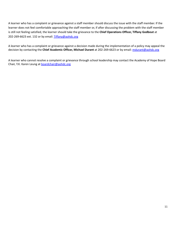A learner who has a complaint or grievance against a staff member should discuss the issue with the staff member. If the learner does not feel comfortable approaching the staff member or, if after discussing the problem with the staff member is still not feeling satisfied, the learner should take the grievance to the **Chief Operations Officer, Tiffany Godbout** at 202-269-6623 ext. 132 or by email: [Tiffany@aohdc.org](mailto:Tiffany@aohdc.org)

A learner who has a complaint or grievance against a decision made during the implementation of a policy may appeal the decision by contacting the **Chief Academic Officer, Michael Durant** at 202-269-6623 or by email: [mdurant@aohdc.org](mailto:mdurant@aohdc.org)

A learner who cannot resolve a complaint or grievance through school leadership may contact the Academy of Hope Board Chair, Y.K. Karen Leung at **[boardchair@aohdc.org](mailto:boardchair@aohdc.org)**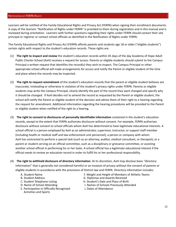Learners will be notified of the Family Educational Rights and Privacy Act (FERPA) when signing their enrollment documents. A copy of the learners "Notification of Rights under FERPA" is provided to them during registration and in this manual and is reviewed during orientation. Learners with further questions regarding their rights under FERPA should contact their site principal or registrar or contact school officials as identified in the Notification of Rights under FERPA.

The Family Educational Rights and Privacy Act (FERPA) affords parents and students age 18 or older ("eligible students") certain rights with respect to the student's education records. These rights are:

- (1) **The right to inspect and review** the student's education records within 45 days of the day Academy of Hope Adult Public Charter School (AoH) receives a request for access. Parents or eligible students should submit to the Campus Principal a written request that identifies the record(s) they wish to inspect. The Campus Principal or other appropriate school official will make arrangements for access and notify the Parent or eligible student of the time and place where the records may be inspected.
- (2) **The right to request amendment** of the student's education records that the parent or eligible student believes are inaccurate, misleading or otherwise in violation of the student's privacy rights under FERPA. Parents or eligible students may write the Campus Principal, clearly identify the part of the record they want changed and specify why it should be changed. If AoH decides not to amend the record as requested by the Parent or eligible student, the school will notify the Parent or eligible student of the decision and advise them of their right to a hearing regarding the request for amendment. Additional information regarding the hearing procedures will be provided to the Parent or eligible student when notified of the right to a hearing.
- (3) **The right to consent to disclosures of personally identifiable information** contained in the student's education records, except to the extent that FERPA authorizes disclosure without consent. For example, FERPA authorizes disclosure without consent to school officials whom AoH has determined to have legitimate educational interests. A school official is a person employed by AoH as an administrator, supervisor, instructor, or support staff member (including health or medical staff and law enforcement unit personnel); a person or company with whom AoH has contracted to perform a special task (such as an attorney, auditor, medical consultant, or therapist); or a parent or student serving on an official committee, such as a disciplinary or grievance committee, or assisting another school official in performing his or her tasks. A school official has a legitimate educational interest if the official needs to review an education record in order to fulfill his or her professional responsibility.
- (4) **The right to withhold disclosure of directory information**. At its discretion, AoH may disclose basic "directory information" that is generally not considered harmful or an invasion of privacy without the consent of parents or eligible students in accordance with the provisions of District law and FERPA. Directory information includes:
	-
	-
	-
	-
	- E. Participation in Officially Recognized J. Dates of Attendance Activities and Sports
	- A. Student Name F. Weight and Height of Members of Athletic Teams<br>B. Student Address F. C. Diplomas and Awards Received
		- G. Diplomas and Awards Received
	- C. Student Telephone Listing The C. Student's Date and Place of Birth<br>
	D. Name of School Attending The Mames of Schools Previously Atte
		- I. Names of Schools Previously Attended
		-